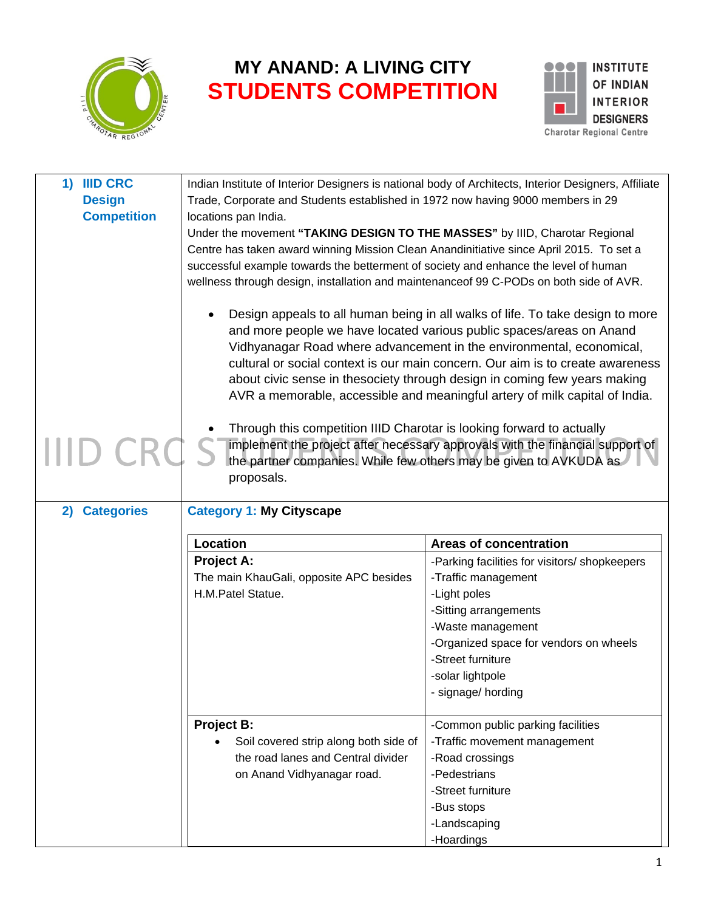

## **MY ANAND: A LIVING CITY STUDENTS COMPETITION**



| 1) IIID CRC<br><b>Design</b><br><b>Competition</b> | Indian Institute of Interior Designers is national body of Architects, Interior Designers, Affiliate<br>Trade, Corporate and Students established in 1972 now having 9000 members in 29<br>locations pan India.<br>Under the movement "TAKING DESIGN TO THE MASSES" by IIID, Charotar Regional<br>Centre has taken award winning Mission Clean Anandinitiative since April 2015. To set a<br>successful example towards the betterment of society and enhance the level of human<br>wellness through design, installation and maintenanceof 99 C-PODs on both side of AVR. |                                                                                                                                                                                                                                                                                                                                                                                                                                                                              |  |
|----------------------------------------------------|----------------------------------------------------------------------------------------------------------------------------------------------------------------------------------------------------------------------------------------------------------------------------------------------------------------------------------------------------------------------------------------------------------------------------------------------------------------------------------------------------------------------------------------------------------------------------|------------------------------------------------------------------------------------------------------------------------------------------------------------------------------------------------------------------------------------------------------------------------------------------------------------------------------------------------------------------------------------------------------------------------------------------------------------------------------|--|
|                                                    |                                                                                                                                                                                                                                                                                                                                                                                                                                                                                                                                                                            | Design appeals to all human being in all walks of life. To take design to more<br>and more people we have located various public spaces/areas on Anand<br>Vidhyanagar Road where advancement in the environmental, economical,<br>cultural or social context is our main concern. Our aim is to create awareness<br>about civic sense in thesociety through design in coming few years making<br>AVR a memorable, accessible and meaningful artery of milk capital of India. |  |
|                                                    | Through this competition IIID Charotar is looking forward to actually<br>proposals.                                                                                                                                                                                                                                                                                                                                                                                                                                                                                        | implement the project after necessary approvals with the financial support of<br>the partner companies. While few others may be given to AVKUDA as                                                                                                                                                                                                                                                                                                                           |  |
| <b>Categories</b><br>2)                            | <b>Category 1: My Cityscape</b>                                                                                                                                                                                                                                                                                                                                                                                                                                                                                                                                            |                                                                                                                                                                                                                                                                                                                                                                                                                                                                              |  |
|                                                    |                                                                                                                                                                                                                                                                                                                                                                                                                                                                                                                                                                            |                                                                                                                                                                                                                                                                                                                                                                                                                                                                              |  |
|                                                    |                                                                                                                                                                                                                                                                                                                                                                                                                                                                                                                                                                            |                                                                                                                                                                                                                                                                                                                                                                                                                                                                              |  |
|                                                    | Location                                                                                                                                                                                                                                                                                                                                                                                                                                                                                                                                                                   | <b>Areas of concentration</b>                                                                                                                                                                                                                                                                                                                                                                                                                                                |  |
|                                                    | <b>Project A:</b>                                                                                                                                                                                                                                                                                                                                                                                                                                                                                                                                                          | -Parking facilities for visitors/ shopkeepers                                                                                                                                                                                                                                                                                                                                                                                                                                |  |
|                                                    | The main KhauGali, opposite APC besides                                                                                                                                                                                                                                                                                                                                                                                                                                                                                                                                    | -Traffic management                                                                                                                                                                                                                                                                                                                                                                                                                                                          |  |
|                                                    | H.M.Patel Statue.                                                                                                                                                                                                                                                                                                                                                                                                                                                                                                                                                          | -Light poles                                                                                                                                                                                                                                                                                                                                                                                                                                                                 |  |
|                                                    |                                                                                                                                                                                                                                                                                                                                                                                                                                                                                                                                                                            | -Sitting arrangements                                                                                                                                                                                                                                                                                                                                                                                                                                                        |  |
|                                                    |                                                                                                                                                                                                                                                                                                                                                                                                                                                                                                                                                                            | -Waste management                                                                                                                                                                                                                                                                                                                                                                                                                                                            |  |
|                                                    |                                                                                                                                                                                                                                                                                                                                                                                                                                                                                                                                                                            | -Organized space for vendors on wheels<br>-Street furniture                                                                                                                                                                                                                                                                                                                                                                                                                  |  |
|                                                    |                                                                                                                                                                                                                                                                                                                                                                                                                                                                                                                                                                            | -solar lightpole                                                                                                                                                                                                                                                                                                                                                                                                                                                             |  |
|                                                    |                                                                                                                                                                                                                                                                                                                                                                                                                                                                                                                                                                            | - signage/ hording                                                                                                                                                                                                                                                                                                                                                                                                                                                           |  |
|                                                    | <b>Project B:</b>                                                                                                                                                                                                                                                                                                                                                                                                                                                                                                                                                          | -Common public parking facilities                                                                                                                                                                                                                                                                                                                                                                                                                                            |  |
|                                                    | Soil covered strip along both side of                                                                                                                                                                                                                                                                                                                                                                                                                                                                                                                                      | -Traffic movement management                                                                                                                                                                                                                                                                                                                                                                                                                                                 |  |
|                                                    | the road lanes and Central divider                                                                                                                                                                                                                                                                                                                                                                                                                                                                                                                                         | -Road crossings                                                                                                                                                                                                                                                                                                                                                                                                                                                              |  |
|                                                    | on Anand Vidhyanagar road.                                                                                                                                                                                                                                                                                                                                                                                                                                                                                                                                                 | -Pedestrians                                                                                                                                                                                                                                                                                                                                                                                                                                                                 |  |
|                                                    |                                                                                                                                                                                                                                                                                                                                                                                                                                                                                                                                                                            | -Street furniture                                                                                                                                                                                                                                                                                                                                                                                                                                                            |  |
|                                                    |                                                                                                                                                                                                                                                                                                                                                                                                                                                                                                                                                                            | -Bus stops                                                                                                                                                                                                                                                                                                                                                                                                                                                                   |  |
|                                                    |                                                                                                                                                                                                                                                                                                                                                                                                                                                                                                                                                                            | -Landscaping                                                                                                                                                                                                                                                                                                                                                                                                                                                                 |  |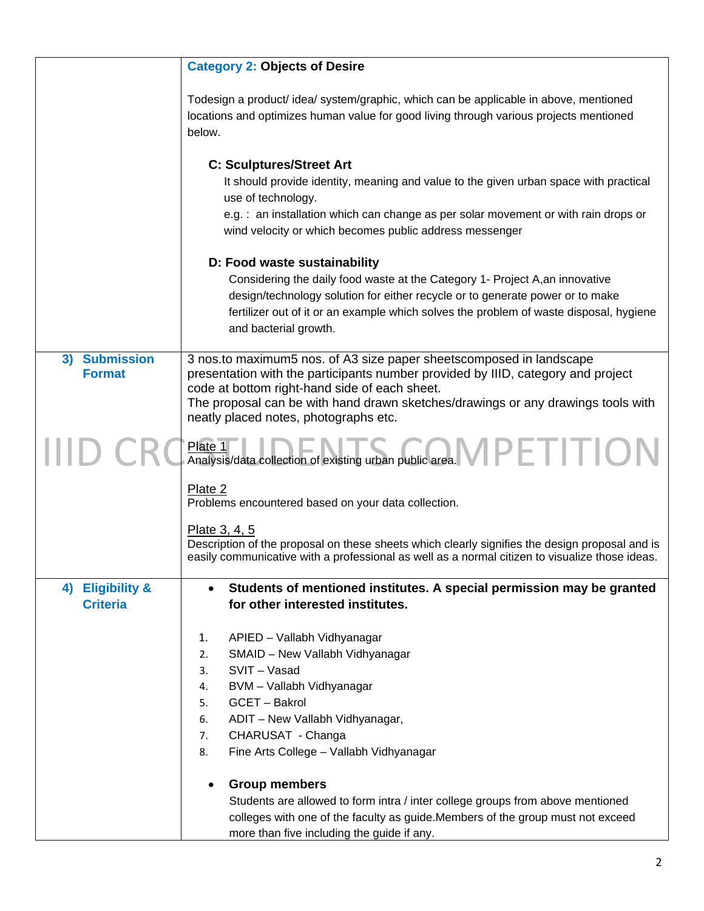|                                                   | <b>Category 2: Objects of Desire</b>                                                                                                                                                                                                                                                                                                  |
|---------------------------------------------------|---------------------------------------------------------------------------------------------------------------------------------------------------------------------------------------------------------------------------------------------------------------------------------------------------------------------------------------|
|                                                   | Todesign a product/ idea/ system/graphic, which can be applicable in above, mentioned<br>locations and optimizes human value for good living through various projects mentioned<br>below.                                                                                                                                             |
|                                                   | <b>C: Sculptures/Street Art</b><br>It should provide identity, meaning and value to the given urban space with practical<br>use of technology.<br>e.g.: an installation which can change as per solar movement or with rain drops or<br>wind velocity or which becomes public address messenger                                       |
|                                                   | D: Food waste sustainability<br>Considering the daily food waste at the Category 1- Project A, an innovative<br>design/technology solution for either recycle or to generate power or to make<br>fertilizer out of it or an example which solves the problem of waste disposal, hygiene<br>and bacterial growth.                      |
| <b>Submission</b><br>3)<br><b>Format</b>          | 3 nos.to maximum5 nos. of A3 size paper sheetscomposed in landscape<br>presentation with the participants number provided by IIID, category and project<br>code at bottom right-hand side of each sheet.<br>The proposal can be with hand drawn sketches/drawings or any drawings tools with<br>neatly placed notes, photographs etc. |
|                                                   | Plate 1<br>Analysis/data collection of existing urban public area. VIPETITIO<br>Plate 1                                                                                                                                                                                                                                               |
|                                                   | Plate 2<br>Problems encountered based on your data collection.                                                                                                                                                                                                                                                                        |
|                                                   | Plate 3, 4, 5<br>Description of the proposal on these sheets which clearly signifies the design proposal and is<br>easily communicative with a professional as well as a normal citizen to visualize those ideas.                                                                                                                     |
| <b>Eligibility &amp;</b><br>4)<br><b>Criteria</b> | Students of mentioned institutes. A special permission may be granted<br>for other interested institutes.                                                                                                                                                                                                                             |
|                                                   | APIED - Vallabh Vidhyanagar<br>1.<br>SMAID - New Vallabh Vidhyanagar<br>2.<br>SVIT - Vasad<br>3.<br>BVM - Vallabh Vidhyanagar<br>4.<br>GCET - Bakrol<br>5.<br>ADIT - New Vallabh Vidhyanagar,<br>6.<br>CHARUSAT - Changa<br>7.<br>Fine Arts College - Vallabh Vidhyanagar<br>8.                                                       |
|                                                   | <b>Group members</b><br>Students are allowed to form intra / inter college groups from above mentioned<br>colleges with one of the faculty as guide. Members of the group must not exceed<br>more than five including the guide if any.                                                                                               |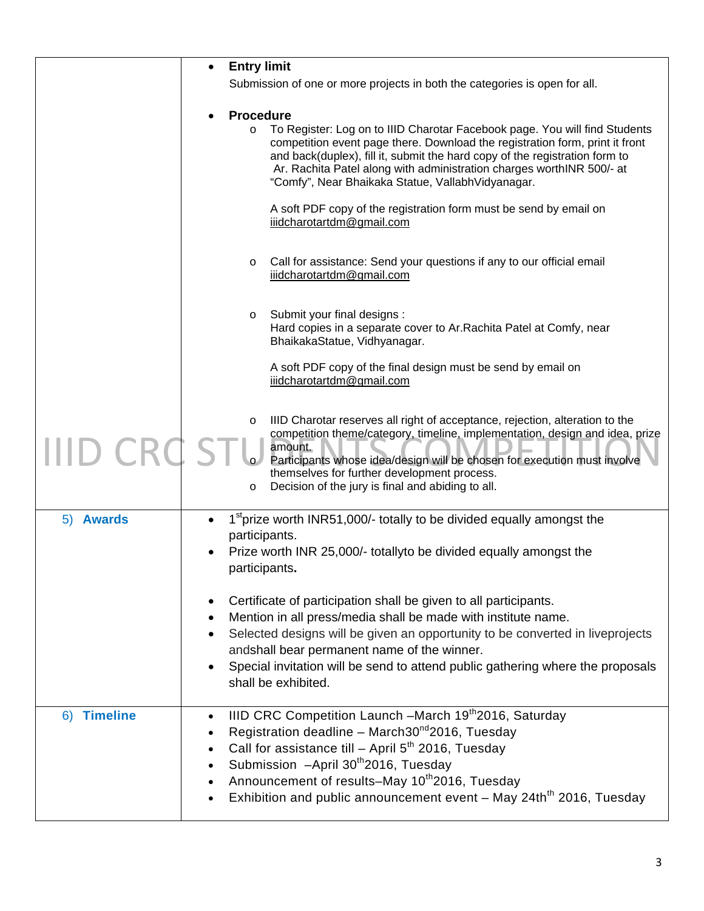|                     | <b>Entry limit</b>                                                                                                                                                                                                                                                                                                                                                                                          |
|---------------------|-------------------------------------------------------------------------------------------------------------------------------------------------------------------------------------------------------------------------------------------------------------------------------------------------------------------------------------------------------------------------------------------------------------|
|                     | Submission of one or more projects in both the categories is open for all.                                                                                                                                                                                                                                                                                                                                  |
|                     |                                                                                                                                                                                                                                                                                                                                                                                                             |
|                     | <b>Procedure</b><br>To Register: Log on to IIID Charotar Facebook page. You will find Students<br>$\circ$<br>competition event page there. Download the registration form, print it front<br>and back(duplex), fill it, submit the hard copy of the registration form to<br>Ar. Rachita Patel along with administration charges worthINR 500/- at<br>"Comfy", Near Bhaikaka Statue, VallabhVidyanagar.      |
|                     | A soft PDF copy of the registration form must be send by email on<br>iiidcharotartdm@gmail.com                                                                                                                                                                                                                                                                                                              |
|                     | Call for assistance: Send your questions if any to our official email<br>$\circ$<br>iiidcharotartdm@gmail.com                                                                                                                                                                                                                                                                                               |
|                     | Submit your final designs :<br>$\circ$<br>Hard copies in a separate cover to Ar. Rachita Patel at Comfy, near<br>BhaikakaStatue, Vidhyanagar.                                                                                                                                                                                                                                                               |
|                     | A soft PDF copy of the final design must be send by email on<br>iiidcharotartdm@gmail.com                                                                                                                                                                                                                                                                                                                   |
|                     | IIID Charotar reserves all right of acceptance, rejection, alteration to the<br>$\circ$<br>competition theme/category, timeline, implementation, design and idea, prize<br>amount.<br>Participants whose idea/design will be chosen for execution must involve<br>themselves for further development process.<br>Decision of the jury is final and abiding to all.<br>O                                     |
| <b>Awards</b><br>5) | 1 <sup>st</sup> prize worth INR51,000/- totally to be divided equally amongst the                                                                                                                                                                                                                                                                                                                           |
|                     | participants.<br>Prize worth INR 25,000/- totallyto be divided equally amongst the<br>participants.                                                                                                                                                                                                                                                                                                         |
|                     | Certificate of participation shall be given to all participants.<br>Mention in all press/media shall be made with institute name.<br>Selected designs will be given an opportunity to be converted in liveprojects<br>andshall bear permanent name of the winner.<br>Special invitation will be send to attend public gathering where the proposals<br>shall be exhibited.                                  |
| 6) Timeline         | IIID CRC Competition Launch -March 19th2016, Saturday<br>$\bullet$<br>Registration deadline - March30 <sup>nd</sup> 2016, Tuesday<br>Call for assistance till - April $5th$ 2016, Tuesday<br>Submission -April 30 <sup>th</sup> 2016, Tuesday<br>Announcement of results–May 10 <sup>th</sup> 2016, Tuesday<br>$\bullet$<br>Exhibition and public announcement event - May 24th <sup>th</sup> 2016, Tuesday |